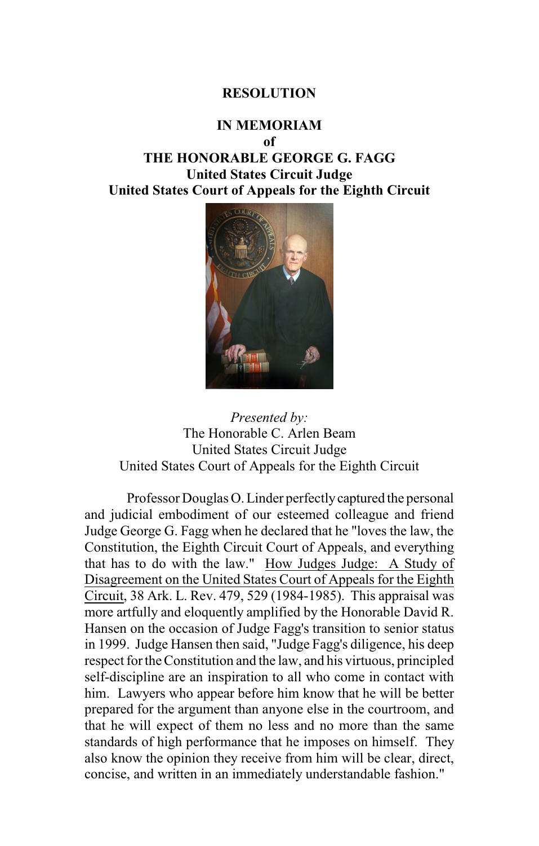## **RESOLUTION**

## **IN MEMORIAM**

**of**

**THE HONORABLE GEORGE G. FAGG United States Circuit Judge United States Court of Appeals for the Eighth Circuit**





Professor Douglas O. Linder perfectlycaptured the personal and judicial embodiment of our esteemed colleague and friend Judge George G. Fagg when he declared that he "loves the law, the Constitution, the Eighth Circuit Court of Appeals, and everything that has to do with the law." How Judges Judge: A Study of Disagreement on the United States Court of Appeals for the Eighth Circuit, 38 Ark. L. Rev. 479, 529 (1984-1985). This appraisal was more artfully and eloquently amplified by the Honorable David R. Hansen on the occasion of Judge Fagg's transition to senior status in 1999. Judge Hansen then said, "Judge Fagg's diligence, his deep respect for the Constitution and the law, and his virtuous, principled self-discipline are an inspiration to all who come in contact with him. Lawyers who appear before him know that he will be better prepared for the argument than anyone else in the courtroom, and that he will expect of them no less and no more than the same standards of high performance that he imposes on himself. They also know the opinion they receive from him will be clear, direct, concise, and written in an immediately understandable fashion."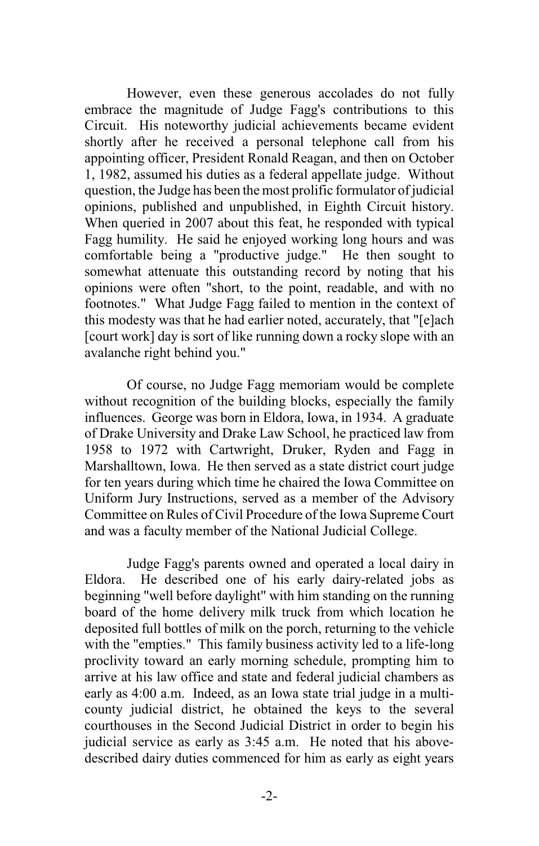However, even these generous accolades do not fully embrace the magnitude of Judge Fagg's contributions to this Circuit. His noteworthy judicial achievements became evident shortly after he received a personal telephone call from his appointing officer, President Ronald Reagan, and then on October 1, 1982, assumed his duties as a federal appellate judge. Without question, the Judge has been the most prolific formulator of judicial opinions, published and unpublished, in Eighth Circuit history. When queried in 2007 about this feat, he responded with typical Fagg humility. He said he enjoyed working long hours and was comfortable being a "productive judge." He then sought to somewhat attenuate this outstanding record by noting that his opinions were often "short, to the point, readable, and with no footnotes." What Judge Fagg failed to mention in the context of this modesty was that he had earlier noted, accurately, that "[e]ach [court work] day is sort of like running down a rocky slope with an avalanche right behind you."

Of course, no Judge Fagg memoriam would be complete without recognition of the building blocks, especially the family influences. George was born in Eldora, Iowa, in 1934. A graduate of Drake University and Drake Law School, he practiced law from 1958 to 1972 with Cartwright, Druker, Ryden and Fagg in Marshalltown, Iowa. He then served as a state district court judge for ten years during which time he chaired the Iowa Committee on Uniform Jury Instructions, served as a member of the Advisory Committee on Rules of Civil Procedure of the Iowa Supreme Court and was a faculty member of the National Judicial College.

Judge Fagg's parents owned and operated a local dairy in Eldora. He described one of his early dairy-related jobs as beginning "well before daylight" with him standing on the running board of the home delivery milk truck from which location he deposited full bottles of milk on the porch, returning to the vehicle with the "empties." This family business activity led to a life-long proclivity toward an early morning schedule, prompting him to arrive at his law office and state and federal judicial chambers as early as 4:00 a.m. Indeed, as an Iowa state trial judge in a multicounty judicial district, he obtained the keys to the several courthouses in the Second Judicial District in order to begin his judicial service as early as 3:45 a.m. He noted that his abovedescribed dairy duties commenced for him as early as eight years